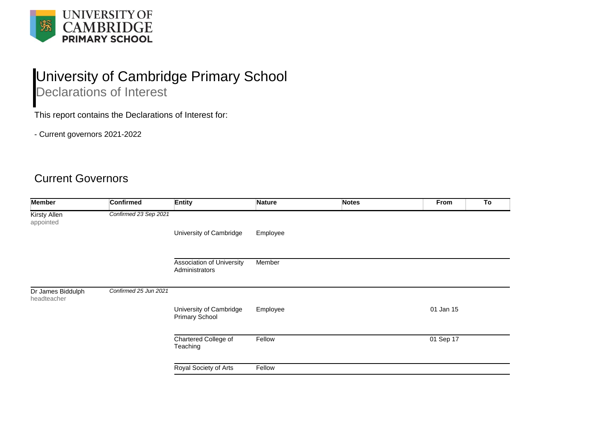

## University of Cambridge Primary School

Declarations of Interest

This report contains the Declarations of Interest for:

- Current governors 2021-2022

## Current Governors

| <b>Member</b>                    | <b>Confirmed</b>      | <b>Entity</b>                               | <b>Nature</b> | <b>Notes</b> | To<br>From |  |
|----------------------------------|-----------------------|---------------------------------------------|---------------|--------------|------------|--|
| <b>Kirsty Allen</b><br>appointed | Confirmed 23 Sep 2021 |                                             |               |              |            |  |
|                                  |                       | University of Cambridge                     | Employee      |              |            |  |
|                                  |                       | Association of University<br>Administrators | Member        |              |            |  |
| Dr James Biddulph<br>headteacher | Confirmed 25 Jun 2021 |                                             |               |              |            |  |
|                                  |                       | University of Cambridge<br>Primary School   | Employee      |              | 01 Jan 15  |  |
|                                  |                       | Chartered College of<br>Teaching            | Fellow        |              | 01 Sep 17  |  |
|                                  |                       | Royal Society of Arts                       | Fellow        |              |            |  |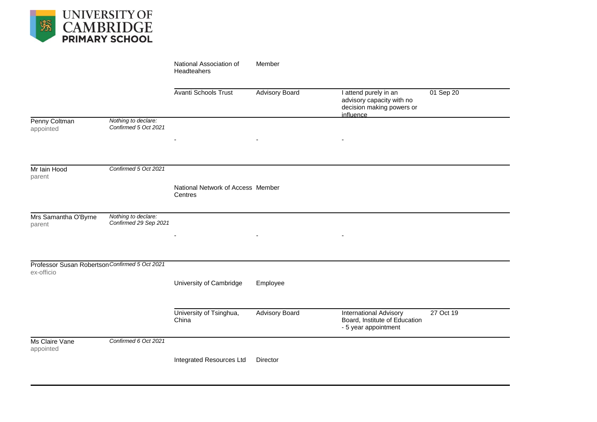

|                                                              |                                              | National Association of<br>Headteahers       | Member                |                                                                                              |           |
|--------------------------------------------------------------|----------------------------------------------|----------------------------------------------|-----------------------|----------------------------------------------------------------------------------------------|-----------|
|                                                              |                                              | <b>Avanti Schools Trust</b>                  | <b>Advisory Board</b> | I attend purely in an<br>advisory capacity with no<br>decision making powers or<br>influence | 01 Sep 20 |
| Penny Coltman<br>appointed                                   | Nothing to declare:<br>Confirmed 5 Oct 2021  |                                              |                       |                                                                                              |           |
| Mr Iain Hood<br>parent                                       | Confirmed 5 Oct 2021                         | National Network of Access Member<br>Centres |                       |                                                                                              |           |
| Mrs Samantha O'Byrne<br>parent                               | Nothing to declare:<br>Confirmed 29 Sep 2021 |                                              |                       |                                                                                              |           |
| Professor Susan Robertson Confirmed 5 Oct 2021<br>ex-officio |                                              | University of Cambridge                      | Employee              |                                                                                              |           |
|                                                              |                                              | University of Tsinghua,<br>China             | <b>Advisory Board</b> | <b>International Advisory</b><br>Board, Institute of Education<br>- 5 year appointment       | 27 Oct 19 |
| Ms Claire Vane<br>appointed                                  | Confirmed 6 Oct 2021                         | Integrated Resources Ltd                     | Director              |                                                                                              |           |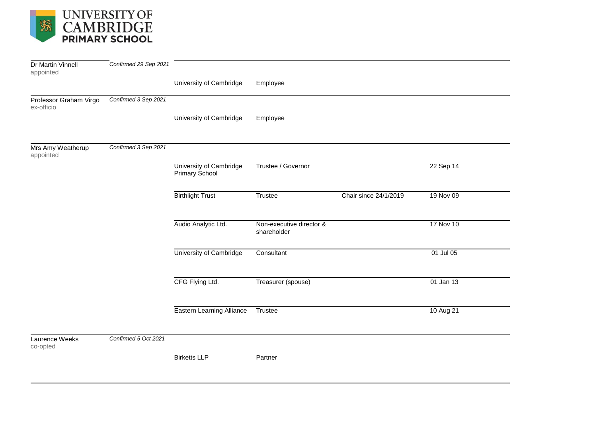

| <b>Dr Martin Vinnell</b>             | Confirmed 29 Sep 2021 |                                           |                                         |                       |           |
|--------------------------------------|-----------------------|-------------------------------------------|-----------------------------------------|-----------------------|-----------|
| appointed                            |                       |                                           |                                         |                       |           |
|                                      |                       | University of Cambridge                   | Employee                                |                       |           |
| Professor Graham Virgo<br>ex-officio | Confirmed 3 Sep 2021  |                                           |                                         |                       |           |
|                                      |                       | University of Cambridge                   | Employee                                |                       |           |
| Mrs Amy Weatherup<br>appointed       | Confirmed 3 Sep 2021  |                                           |                                         |                       |           |
|                                      |                       | University of Cambridge<br>Primary School | Trustee / Governor                      |                       | 22 Sep 14 |
|                                      |                       | <b>Birthlight Trust</b>                   | Trustee                                 | Chair since 24/1/2019 | 19 Nov 09 |
|                                      |                       | Audio Analytic Ltd.                       | Non-executive director &<br>shareholder |                       | 17 Nov 10 |
|                                      |                       | University of Cambridge                   | Consultant                              |                       | 01 Jul 05 |
|                                      |                       | CFG Flying Ltd.                           | Treasurer (spouse)                      |                       | 01 Jan 13 |
|                                      |                       | <b>Eastern Learning Alliance</b>          | Trustee                                 |                       | 10 Aug 21 |
| Laurence Weeks<br>co-opted           | Confirmed 5 Oct 2021  |                                           |                                         |                       |           |
|                                      |                       | <b>Birketts LLP</b>                       | Partner                                 |                       |           |